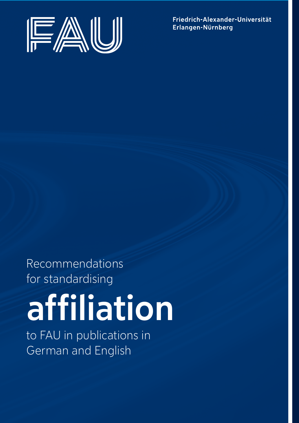

Friedrich-Alexander-Universität Erlangen-Nürnberg

Recommendations for standardising

# affiliation

to FAU in publications in German and English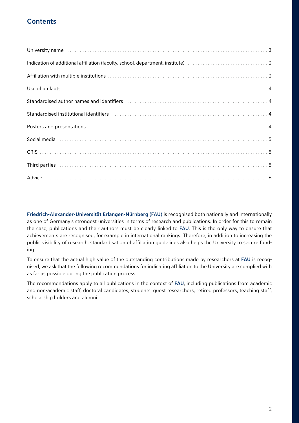## **Contents**

| University name increases and contact the control of the control of the control of the control of the control of the control of the control of the control of the control of the control of the control of the control of the  |  |
|--------------------------------------------------------------------------------------------------------------------------------------------------------------------------------------------------------------------------------|--|
| Indication of additional affiliation (faculty, school, department, institute) manufacture and contain an additional 3                                                                                                          |  |
|                                                                                                                                                                                                                                |  |
|                                                                                                                                                                                                                                |  |
| Standardised author names and identifiers (Although Manuschill Manuschill Manuschill Manuschill 4)                                                                                                                             |  |
| Standardised institutional identifiers (and all contact and all contact and all contact and all contact and all contact and all contact and all contact and all contact and all contact and all contact and all contact and al |  |
|                                                                                                                                                                                                                                |  |
| Social media (a) and the contract of the contract of the set of the contract of the set of the set of the set of the set of the set of the set of the set of the set of the set of the set of the set of the set of the set of |  |
|                                                                                                                                                                                                                                |  |
| Third parties (and according to the control of the control of the control of the control of the control of the control of the control of the control of the control of the control of the control of the control of the contro |  |
|                                                                                                                                                                                                                                |  |

Friedrich-Alexander-Universität Erlangen-Nürnberg (FAU) is recognised both nationally and internationally as one of Germany's strongest universities in terms of research and publications. In order for this to remain the case, publications and their authors must be clearly linked to FAU. This is the only way to ensure that achievements are recognised, for example in international rankings. Therefore, in addition to increasing the public visibility of research, standardisation of affiliation guidelines also helps the University to secure funding.

To ensure that the actual high value of the outstanding contributions made by researchers at FAU is recognised, we ask that the following recommendations for indicating affiliation to the University are complied with as far as possible during the publication process.

The recommendations apply to all publications in the context of FAU, including publications from academic and non-academic staff, doctoral candidates, students, guest researchers, retired professors, teaching staff, scholarship holders and alumni.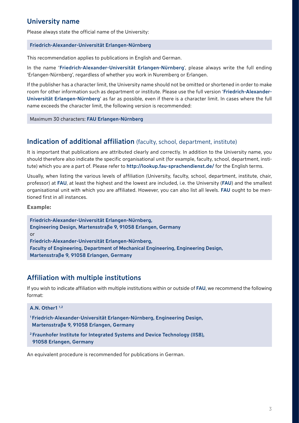#### University name

Please always state the official name of the University:

#### Friedrich-Alexander-Universität Erlangen-Nürnberg

This recommendation applies to publications in English and German.

In the name 'Friedrich-Alexander-Universität Erlangen-Nürnberg', please always write the full ending 'Erlangen-Nürnberg', regardless of whether you work in Nuremberg or Erlangen.

If the publisher has a character limit, the University name should not be omitted or shortened in order to make room for other information such as department or institute. Please use the full version 'Friedrich-Alexander-Universität Erlangen-Nürnberg' as far as possible, even if there is a character limit. In cases where the full name exceeds the character limit, the following version is recommended:

Maximum 30 characters: FAU Erlangen-Nürnberg

#### Indication of additional affiliation (faculty, school, department, institute)

It is important that publications are attributed clearly and correctly. In addition to the University name, you should therefore also indicate the specific organisational unit (for example, faculty, school, department, institute) which you are a part of. Please refer to <http://lookup.fau-sprachendienst.de/> for the English terms.

Usually, when listing the various levels of affiliation (University, faculty, school, department, institute, chair, professor) at FAU, at least the highest and the lowest are included, i.e. the University (FAU) and the smallest organisational unit with which you are affiliated. However, you can also list all levels. FAU ought to be mentioned first in all instances.

**Example:**

Friedrich-Alexander-Universität Erlangen-Nürnberg, Engineering Design, Martensstraße 9, 91058 Erlangen, Germany or Friedrich-Alexander-Universität Erlangen-Nürnberg, Faculty of Engineering, Department of Mechanical Engineering, Engineering Design, Martensstraße 9, 91058 Erlangen, Germany

### Affiliation with multiple institutions

If you wish to indicate affiliation with multiple institutions within or outside of FAU, we recommend the following format:

#### A.N. Other1 1,2

- 1 Friedrich-Alexander-Universität Erlangen-Nürnberg, Engineering Design, Martensstraße 9, 91058 Erlangen, Germany
- 2 Fraunhofer Institute for Integrated Systems and Device Technology (IISB), 91058 Erlangen, Germany

An equivalent procedure is recommended for publications in German.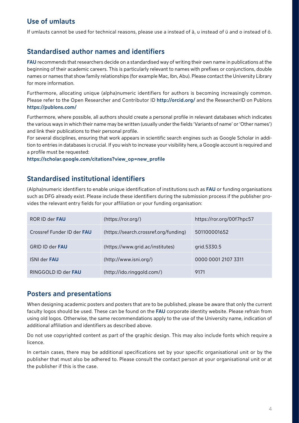# Use of umlauts

If umlauts cannot be used for technical reasons, please use a instead of ä, u instead of ü and o instead of ö.

# Standardised author names and identifiers

FAU recommends that researchers decide on a standardised way of writing their own name in publications at the beginning of their academic careers. This is particularly relevant to names with prefixes or conjunctions, double names or names that show family relationships (for example Mac, Ibn, Abu). Please contact the University Library for more information.

Furthermore, allocating unique (alpha)numeric identifiers for authors is becoming increasingly common. Please refer to the Open Researcher and Contributor ID [http://orcid.org/](http://orcid.org/%20) and the ResearcherID on Publons <https://publons.com/>

Furthermore, where possible, all authors should create a personal profile in relevant databases which indicates the various ways in which their name may be written (usually under the fields 'Variants of name' or 'Other names') and link their publications to their personal profile.

For several disciplines, ensuring that work appears in scientific search engines such as Google Scholar in addition to entries in databases is crucial. If you wish to increase your visibility here, a Google account is required and a profile must be requested:

[https://scholar.google.com/citations?view\\_op=new\\_profile](https://scholar.google.com/citations?view_op=new_profile) 

## Standardised institutional identifiers

(Alpha)numeric identifiers to enable unique identification of institutions such as FAU or funding organisations such as DFG already exist. Please include these identifiers during the submission process if the publisher provides the relevant entry fields for your affiliation or your funding organisation:

| ROR ID der <b>FAU</b>             | (htips://ror.org/)                    | https://ror.org/00f7hpc57 |
|-----------------------------------|---------------------------------------|---------------------------|
| Crossref Funder ID der <b>FAU</b> | (https://search.crossref.org/funding) | 501100001652              |
| <b>GRID ID der FAU</b>            | (https://www.grid.ac/institutes)      | grid.5330.5               |
| <b>ISNI der FAU</b>               | (http://www.isni.org/)                | 0000 0001 2107 3311       |
| RINGGOLD ID der <b>FAU</b>        | (http://ido.ringgold.com/)            | 9171                      |

#### Posters and presentations

When designing academic posters and posters that are to be published, please be aware that only the current faculty logos should be used. These can be found on the FAU corporate identity website. Please refrain from using old logos. Otherwise, the same recommendations apply to the use of the University name, indication of additional affiliation and identifiers as described above.

Do not use copyrighted content as part of the graphic design. This may also include fonts which require a licence.

In certain cases, there may be additional specifications set by your specific organisational unit or by the publisher that must also be adhered to. Please consult the contact person at your organisational unit or at the publisher if this is the case.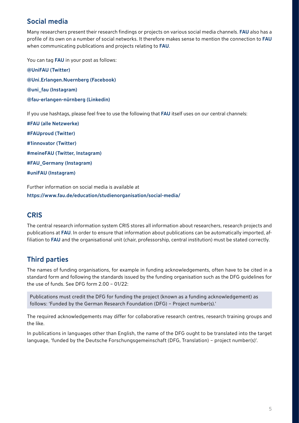## Social media

Many researchers present their research findings or projects on various social media channels. FAU also has a profile of its own on a number of social networks. It therefore makes sense to mention the connection to FAU when communicating publications and projects relating to FAU.

You can tag FAU in your post as follows:

@UniFAU (Twitter) @Uni Erlangen.Nuernberg (Facebook) @uni\_fau (Instagram) @fau-erlangen-nürnberg (Linkedin)

If you use hashtags, please feel free to use the following that FAU itself uses on our central channels:

#FAU (alle Netzwerke) #FAUproud (Twitter) #1innovator (Twitter) #meineFAU (Twitter, Instagram) #FAU\_Germany (Instagram) #uniFAU (Instagram)

Further information on social media is available at <https://www.fau.de/education/studienorganisation/social-media/>

### **CRIS**

The central research information system CRIS stores all information about researchers, research projects and publications at FAU. In order to ensure that information about publications can be automatically imported, affiliation to FAU and the organisational unit (chair, professorship, central institution) must be stated correctly.

# Third parties

The names of funding organisations, for example in funding acknowledgements, often have to be cited in a standard form and following the standards issued by the funding organisation such as the DFG guidelines for the use of funds. See DFG form 2.00 – 01/22:

Publications must credit the DFG for funding the project (known as a funding acknowledgement) as follows: 'Funded by the German Research Foundation (DFG) – Project number(s).'

The required acknowledgements may differ for collaborative research centres, research training groups and the like.

In publications in languages other than English, the name of the DFG ought to be translated into the target language, 'funded by the Deutsche Forschungsgemeinschaft (DFG, Translation) – project number(s)'.